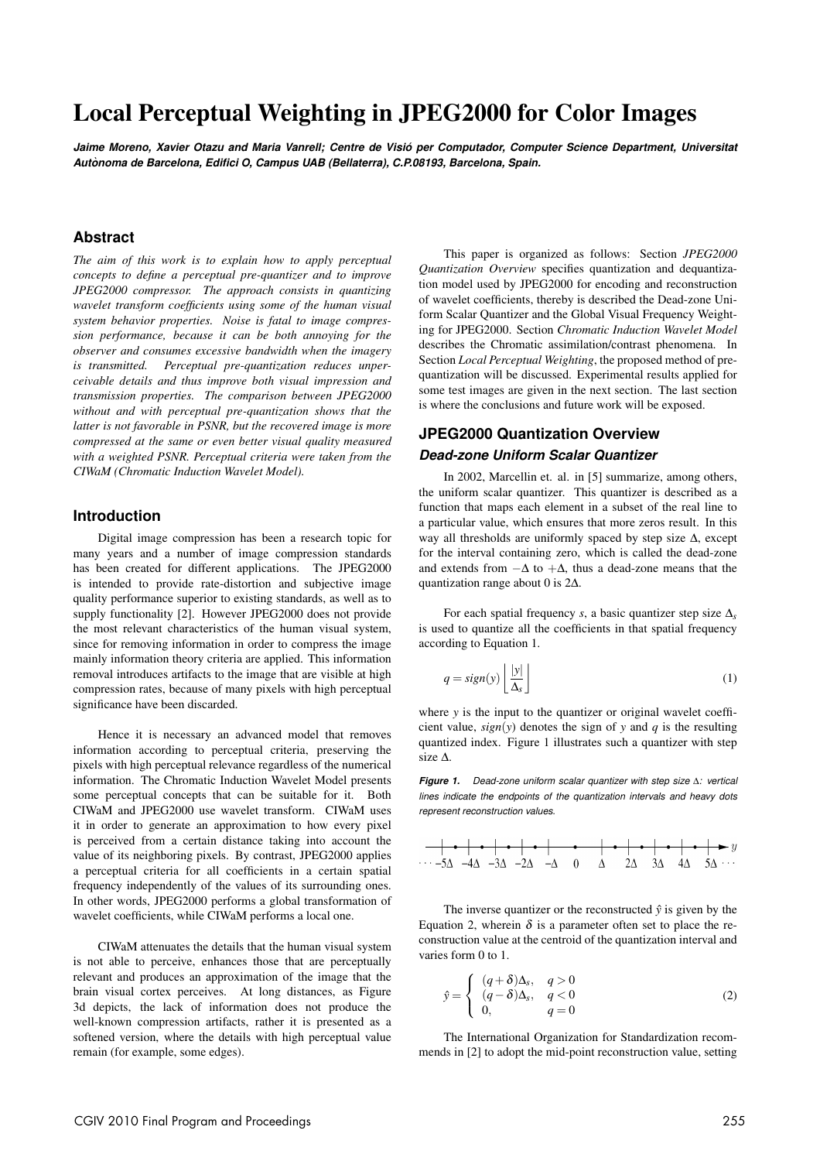# Local Perceptual Weighting in JPEG2000 for Color Images

*Jaime Moreno, Xavier Otazu and Maria Vanrell; Centre de Visio per Computador, Computer Science Department, Universitat ´ Autonoma de Barcelona, Edifici O, Campus UAB (Bellaterra), C.P.08193, Barcelona, Spain. `*

### **Abstract**

*The aim of this work is to explain how to apply perceptual concepts to define a perceptual pre-quantizer and to improve JPEG2000 compressor. The approach consists in quantizing wavelet transform coefficients using some of the human visual system behavior properties. Noise is fatal to image compression performance, because it can be both annoying for the observer and consumes excessive bandwidth when the imagery is transmitted. Perceptual pre-quantization reduces unperceivable details and thus improve both visual impression and transmission properties. The comparison between JPEG2000 without and with perceptual pre-quantization shows that the latter is not favorable in PSNR, but the recovered image is more compressed at the same or even better visual quality measured with a weighted PSNR. Perceptual criteria were taken from the CIWaM (Chromatic Induction Wavelet Model).*

### **Introduction**

Digital image compression has been a research topic for many years and a number of image compression standards has been created for different applications. The JPEG2000 is intended to provide rate-distortion and subjective image quality performance superior to existing standards, as well as to supply functionality [2]. However JPEG2000 does not provide the most relevant characteristics of the human visual system, since for removing information in order to compress the image mainly information theory criteria are applied. This information removal introduces artifacts to the image that are visible at high compression rates, because of many pixels with high perceptual significance have been discarded.

Hence it is necessary an advanced model that removes information according to perceptual criteria, preserving the pixels with high perceptual relevance regardless of the numerical information. The Chromatic Induction Wavelet Model presents some perceptual concepts that can be suitable for it. Both CIWaM and JPEG2000 use wavelet transform. CIWaM uses it in order to generate an approximation to how every pixel is perceived from a certain distance taking into account the value of its neighboring pixels. By contrast, JPEG2000 applies a perceptual criteria for all coefficients in a certain spatial frequency independently of the values of its surrounding ones. In other words, JPEG2000 performs a global transformation of wavelet coefficients, while CIWaM performs a local one.

CIWaM attenuates the details that the human visual system is not able to perceive, enhances those that are perceptually relevant and produces an approximation of the image that the brain visual cortex perceives. At long distances, as Figure 3d depicts, the lack of information does not produce the well-known compression artifacts, rather it is presented as a softened version, where the details with high perceptual value remain (for example, some edges).

This paper is organized as follows: Section *JPEG2000 Quantization Overview* specifies quantization and dequantization model used by JPEG2000 for encoding and reconstruction of wavelet coefficients, thereby is described the Dead-zone Uniform Scalar Quantizer and the Global Visual Frequency Weighting for JPEG2000. Section *Chromatic Induction Wavelet Model* describes the Chromatic assimilation/contrast phenomena. In Section *Local Perceptual Weighting*, the proposed method of prequantization will be discussed. Experimental results applied for some test images are given in the next section. The last section is where the conclusions and future work will be exposed.

# **JPEG2000 Quantization Overview** *Dead-zone Uniform Scalar Quantizer*

In 2002, Marcellin et. al. in [5] summarize, among others, the uniform scalar quantizer. This quantizer is described as a function that maps each element in a subset of the real line to a particular value, which ensures that more zeros result. In this way all thresholds are uniformly spaced by step size ∆, except for the interval containing zero, which is called the dead-zone and extends from  $-\Delta$  to  $+\Delta$ , thus a dead-zone means that the quantization range about 0 is 2∆.

For each spatial frequency *s*, a basic quantizer step size ∆*s* is used to quantize all the coefficients in that spatial frequency according to Equation 1.

$$
q = sign(y) \left\lfloor \frac{|y|}{\Delta_s} \right\rfloor \tag{1}
$$

where *y* is the input to the quantizer or original wavelet coefficient value,  $sign(y)$  denotes the sign of y and q is the resulting quantized index. Figure 1 illustrates such a quantizer with step size ∆.

*Figure 1. Dead-zone uniform scalar quantizer with step size* ∆*: vertical lines indicate the endpoints of the quantization intervals and heavy dots represent reconstruction values.*

$$
\begin{array}{c|cccc}\n\hline\n\end{array}\n\qquad\n\begin{array}{c|cccc}\n\bullet & -\bullet & -\bullet & -\bullet & -\bullet & -\bullet & -\bullet & -\bullet & -\bullet & -\bullet \\
\hline\n\end{array}
$$

The inverse quantizer or the reconstructed  $\hat{y}$  is given by the Equation 2, wherein  $\delta$  is a parameter often set to place the reconstruction value at the centroid of the quantization interval and varies form 0 to 1.

$$
\hat{y} = \begin{cases}\n(q+\delta)\Delta_s, & q > 0 \\
(q-\delta)\Delta_s, & q < 0 \\
0, & q = 0\n\end{cases}
$$
\n(2)

The International Organization for Standardization recommends in [2] to adopt the mid-point reconstruction value, setting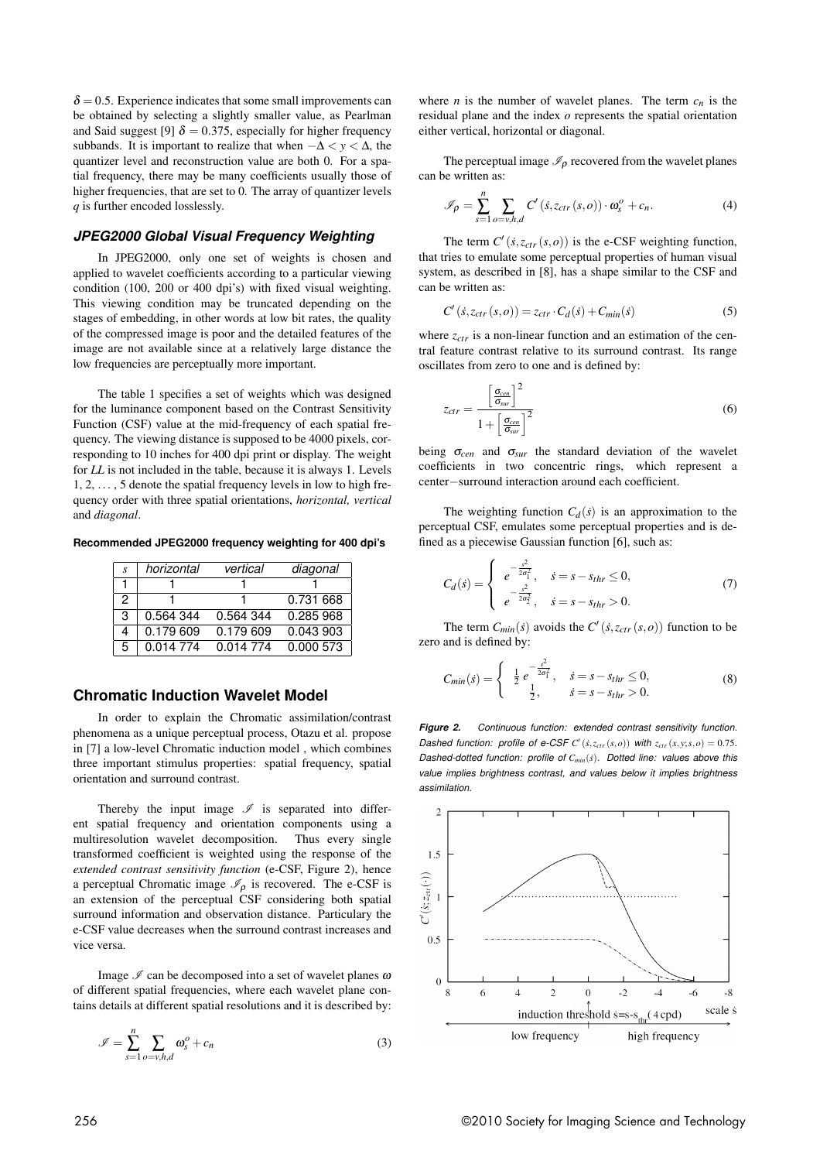$\delta$  = 0.5. Experience indicates that some small improvements can be obtained by selecting a slightly smaller value, as Pearlman and Said suggest [9]  $\delta = 0.375$ , especially for higher frequency subbands. It is important to realize that when  $-\Delta < y < \Delta$ , the quantizer level and reconstruction value are both 0. For a spatial frequency, there may be many coefficients usually those of higher frequencies, that are set to 0. The array of quantizer levels *q* is further encoded losslessly.

### *JPEG2000 Global Visual Frequency Weighting*

In JPEG2000, only one set of weights is chosen and applied to wavelet coefficients according to a particular viewing condition (100, 200 or 400 dpi's) with fixed visual weighting. This viewing condition may be truncated depending on the stages of embedding, in other words at low bit rates, the quality of the compressed image is poor and the detailed features of the image are not available since at a relatively large distance the low frequencies are perceptually more important.

The table 1 specifies a set of weights which was designed for the luminance component based on the Contrast Sensitivity Function (CSF) value at the mid-frequency of each spatial frequency. The viewing distance is supposed to be 4000 pixels, corresponding to 10 inches for 400 dpi print or display. The weight for *LL* is not included in the table, because it is always 1. Levels 1, 2, ... , 5 denote the spatial frequency levels in low to high frequency order with three spatial orientations, *horizontal, vertical* and *diagonal*.

**Recommended JPEG2000 frequency weighting for 400 dpi's**

| S. | horizontal | vertical  | diagonal  |
|----|------------|-----------|-----------|
|    |            |           |           |
| 2  |            |           | 0.731 668 |
| 3  | 0.564 344  | 0.564 344 | 0.285 968 |
| 4  | 0.179 609  | 0.179 609 | 0.043 903 |
| 5  | 0.014 774  | 0.014 774 | 0.000 573 |

### **Chromatic Induction Wavelet Model**

In order to explain the Chromatic assimilation/contrast phenomena as a unique perceptual process, Otazu et al. propose in [7] a low-level Chromatic induction model , which combines three important stimulus properties: spatial frequency, spatial orientation and surround contrast.

Thereby the input image  $\mathscr I$  is separated into different spatial frequency and orientation components using a multiresolution wavelet decomposition. Thus every single transformed coefficient is weighted using the response of the *extended contrast sensitivity function* (e-CSF, Figure 2), hence a perceptual Chromatic image  $\mathcal{I}_\rho$  is recovered. The e-CSF is an extension of the perceptual CSF considering both spatial surround information and observation distance. Particulary the e-CSF value decreases when the surround contrast increases and vice versa.

Image  $\mathcal I$  can be decomposed into a set of wavelet planes  $\omega$ of different spatial frequencies, where each wavelet plane contains details at different spatial resolutions and it is described by:

$$
\mathcal{I} = \sum_{s=1}^{n} \sum_{o=v, h, d} \omega_s^o + c_n \tag{3}
$$

where *n* is the number of wavelet planes. The term  $c_n$  is the residual plane and the index *o* represents the spatial orientation either vertical, horizontal or diagonal.

The perceptual image  $\mathcal{I}_\rho$  recovered from the wavelet planes can be written as:

$$
\mathscr{I}_{\rho} = \sum_{s=1}^{n} \sum_{o=v,h,d} C'(s, z_{ctr}(s,o)) \cdot \omega_s^o + c_n.
$$
 (4)

The term  $C'$  ( $\dot{s}$ , $z_{ctr}$  ( $s$ , $o$ )) is the e-CSF weighting function, that tries to emulate some perceptual properties of human visual system, as described in [8], has a shape similar to the CSF and can be written as:

$$
C'(s, z_{ctr}(s, o)) = z_{ctr} \cdot C_d(s) + C_{min}(s)
$$
\n(5)

where  $z_{ctr}$  is a non-linear function and an estimation of the central feature contrast relative to its surround contrast. Its range oscillates from zero to one and is defined by:

$$
z_{ctr} = \frac{\left[\frac{\sigma_{cen}}{\sigma_{sur}}\right]^2}{1 + \left[\frac{\sigma_{cen}}{\sigma_{sur}}\right]^2}
$$
(6)

being  $\sigma_{cen}$  and  $\sigma_{sur}$  the standard deviation of the wavelet coefficients in two concentric rings, which represent a center−surround interaction around each coefficient.

The weighting function  $C_d(s)$  is an approximation to the perceptual CSF, emulates some perceptual properties and is defined as a piecewise Gaussian function [6], such as:

$$
C_d(\dot{s}) = \begin{cases} e^{-\frac{\dot{s}^2}{2\sigma_1^2}}, & \dot{s} = s - s_{thr} \le 0, \\ e^{-\frac{\dot{s}^2}{2\sigma_2^2}}, & \dot{s} = s - s_{thr} > 0. \end{cases}
$$
(7)

The term  $C_{min}(s)$  avoids the  $C'(s, z_{ctr}(s, o))$  function to be zero and is defined by:

$$
C_{min}(s) = \begin{cases} \frac{1}{2} e^{-\frac{s^2}{2\sigma_1^2}}, & s = s - s_{thr} \le 0, \\ \frac{1}{2}, & s = s - s_{thr} > 0. \end{cases}
$$
(8)

*Figure 2. Continuous function: extended contrast sensitivity function. Dashed function: profile of e-CSF*  $C'(s, z_{ctr}(s, o))$  *with*  $z_{ctr}(x, y; s, o) = 0.75$ *. Dashed-dotted function: profile of Cmin*(*s*˙)*. Dotted line: values above this value implies brightness contrast, and values below it implies brightness assimilation.*

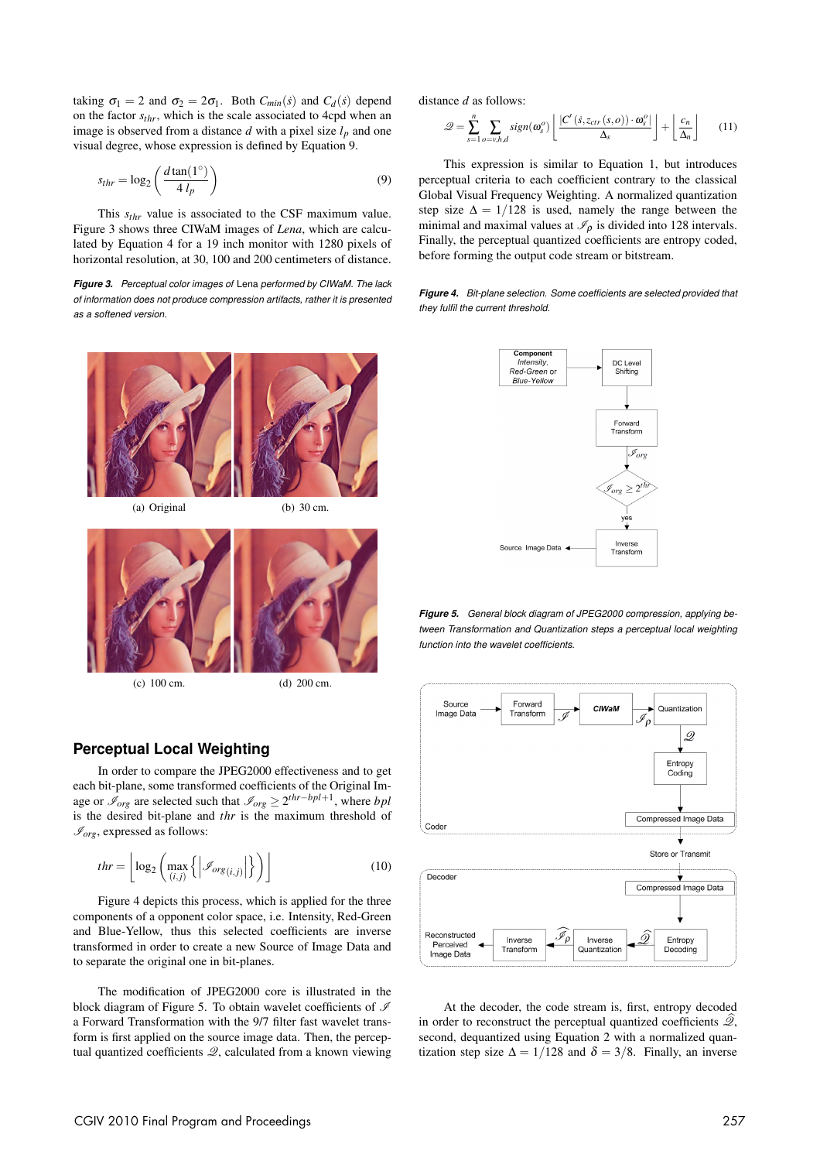taking  $\sigma_1 = 2$  and  $\sigma_2 = 2\sigma_1$ . Both  $C_{min}(s)$  and  $C_d(s)$  depend on the factor *sthr*, which is the scale associated to 4cpd when an image is observed from a distance  $d$  with a pixel size  $l_p$  and one visual degree, whose expression is defined by Equation 9.

$$
s_{thr} = \log_2\left(\frac{d \tan(1^\circ)}{4 l_p}\right) \tag{9}
$$

This *sthr* value is associated to the CSF maximum value. Figure 3 shows three CIWaM images of *Lena*, which are calculated by Equation 4 for a 19 inch monitor with 1280 pixels of horizontal resolution, at 30, 100 and 200 centimeters of distance.

*Figure 3. Perceptual color images of* Lena *performed by CIWaM. The lack of information does not produce compression artifacts, rather it is presented as a softened version.*





(c) 100 cm. (d) 200 cm.

# **Perceptual Local Weighting**

In order to compare the JPEG2000 effectiveness and to get each bit-plane, some transformed coefficients of the Original Image or  $\mathscr{I}_{org}$  are selected such that  $\mathscr{I}_{org} \geq 2^{thr-bpl+1}$ , where *bpl* is the desired bit-plane and *thr* is the maximum threshold of  $\mathcal{I}_{org}$ , expressed as follows:

$$
thr = \left\lfloor \log_2 \left( \max_{(i,j)} \left\{ \left| \mathcal{I}_{org(i,j)} \right| \right\} \right) \right\rfloor \tag{10}
$$

Figure 4 depicts this process, which is applied for the three components of a opponent color space, i.e. Intensity, Red-Green and Blue-Yellow, thus this selected coefficients are inverse transformed in order to create a new Source of Image Data and to separate the original one in bit-planes.

The modification of JPEG2000 core is illustrated in the block diagram of Figure 5. To obtain wavelet coefficients of  $\mathscr I$ a Forward Transformation with the 9/7 filter fast wavelet transform is first applied on the source image data. Then, the perceptual quantized coefficients  $\mathcal{Q}$ , calculated from a known viewing

distance *d* as follows:

$$
\mathcal{Q} = \sum_{s=1}^{n} \sum_{o=v,h,d} sign(\omega_s^o) \left[ \frac{|C'(s, z_{ctr}(s,o)) \cdot \omega_s^o|}{\Delta_s} \right] + \left[ \frac{c_n}{\Delta_n} \right] \tag{11}
$$

This expression is similar to Equation 1, but introduces perceptual criteria to each coefficient contrary to the classical Global Visual Frequency Weighting. A normalized quantization step size  $\Delta = 1/128$  is used, namely the range between the minimal and maximal values at  $\mathcal{I}_{\rho}$  is divided into 128 intervals. Finally, the perceptual quantized coefficients are entropy coded, before forming the output code stream or bitstream.

*Figure 4. Bit-plane selection. Some coefficients are selected provided that they fulfil the current threshold.*



*Figure 5. General block diagram of JPEG2000 compression, applying between Transformation and Quantization steps a perceptual local weighting function into the wavelet coefficients.*



At the decoder, the code stream is, first, entropy decoded in order to reconstruct the perceptual quantized coefficients  $\mathcal{Q}_n$ , second, dequantized using Equation 2 with a normalized quantization step size  $\Delta = 1/128$  and  $\delta = 3/8$ . Finally, an inverse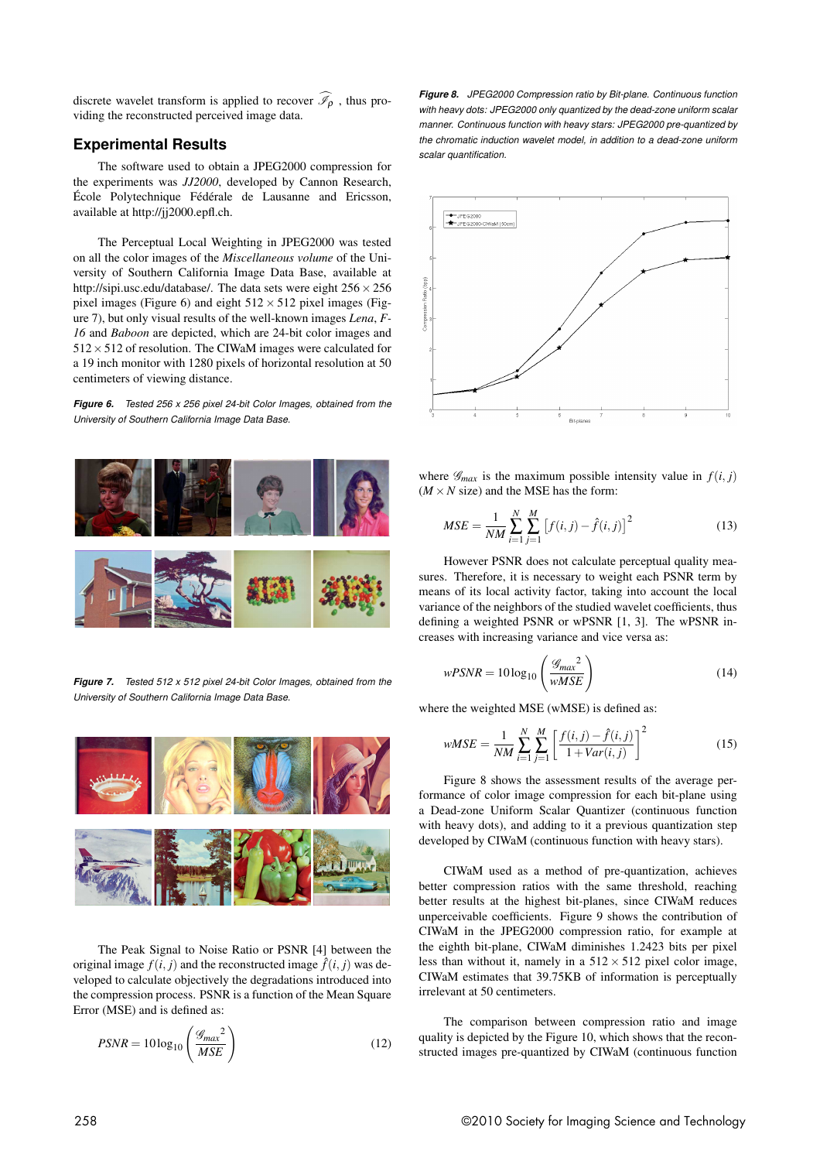discrete wavelet transform is applied to recover  $\widehat{I}_{\Omega}$ , thus providing the reconstructed perceived image data.

#### **Experimental Results**

The software used to obtain a JPEG2000 compression for the experiments was *JJ2000*, developed by Cannon Research, École Polytechnique Fédérale de Lausanne and Ericsson, available at http://jj2000.epfl.ch.

The Perceptual Local Weighting in JPEG2000 was tested on all the color images of the *Miscellaneous volume* of the University of Southern California Image Data Base, available at http://sipi.usc.edu/database/. The data sets were eight 256×256 pixel images (Figure 6) and eight  $512 \times 512$  pixel images (Figure 7), but only visual results of the well-known images *Lena*, *F-16* and *Baboon* are depicted, which are 24-bit color images and  $512 \times 512$  of resolution. The CIWaM images were calculated for a 19 inch monitor with 1280 pixels of horizontal resolution at 50 centimeters of viewing distance.

*Figure 6. Tested 256 x 256 pixel 24-bit Color Images, obtained from the University of Southern California Image Data Base.*



*Figure 7. Tested 512 x 512 pixel 24-bit Color Images, obtained from the University of Southern California Image Data Base.*



The Peak Signal to Noise Ratio or PSNR [4] between the original image  $f(i, j)$  and the reconstructed image  $\hat{f}(i, j)$  was developed to calculate objectively the degradations introduced into the compression process. PSNR is a function of the Mean Square Error (MSE) and is defined as:

$$
PSNR = 10\log_{10}\left(\frac{\mathcal{G}_{max}^2}{MSE}\right) \tag{12}
$$

*Figure 8. JPEG2000 Compression ratio by Bit-plane. Continuous function with heavy dots: JPEG2000 only quantized by the dead-zone uniform scalar manner. Continuous function with heavy stars: JPEG2000 pre-quantized by the chromatic induction wavelet model, in addition to a dead-zone uniform scalar quantification.*



where  $\mathscr{G}_{max}$  is the maximum possible intensity value in  $f(i, j)$  $(M \times N)$  size) and the MSE has the form:

$$
MSE = \frac{1}{NM} \sum_{i=1}^{N} \sum_{j=1}^{M} \left[ f(i,j) - \hat{f}(i,j) \right]^2
$$
 (13)

However PSNR does not calculate perceptual quality measures. Therefore, it is necessary to weight each PSNR term by means of its local activity factor, taking into account the local variance of the neighbors of the studied wavelet coefficients, thus defining a weighted PSNR or wPSNR [1, 3]. The wPSNR increases with increasing variance and vice versa as:

$$
wPSNR = 10\log_{10}\left(\frac{g_{max}^2}{wMSE}\right)
$$
\n(14)

where the weighted MSE (wMSE) is defined as:

$$
wMSE = \frac{1}{NM} \sum_{i=1}^{N} \sum_{j=1}^{M} \left[ \frac{f(i,j) - \hat{f}(i,j)}{1 + Var(i,j)} \right]^2
$$
(15)

Figure 8 shows the assessment results of the average performance of color image compression for each bit-plane using a Dead-zone Uniform Scalar Quantizer (continuous function with heavy dots), and adding to it a previous quantization step developed by CIWaM (continuous function with heavy stars).

CIWaM used as a method of pre-quantization, achieves better compression ratios with the same threshold, reaching better results at the highest bit-planes, since CIWaM reduces unperceivable coefficients. Figure 9 shows the contribution of CIWaM in the JPEG2000 compression ratio, for example at the eighth bit-plane, CIWaM diminishes 1.2423 bits per pixel less than without it, namely in a  $512 \times 512$  pixel color image, CIWaM estimates that 39.75KB of information is perceptually irrelevant at 50 centimeters.

The comparison between compression ratio and image quality is depicted by the Figure 10, which shows that the reconstructed images pre-quantized by CIWaM (continuous function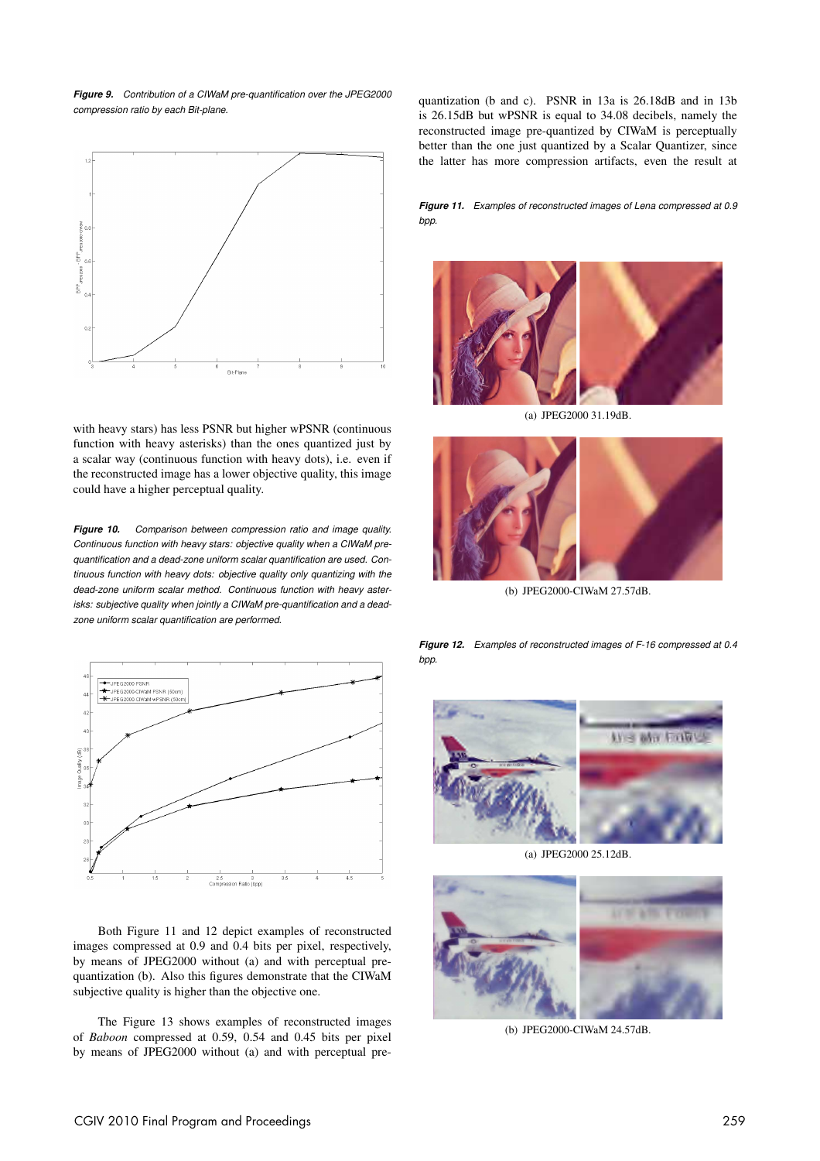*Figure 9. Contribution of a CIWaM pre-quantification over the JPEG2000 compression ratio by each Bit-plane.*



with heavy stars) has less PSNR but higher wPSNR (continuous function with heavy asterisks) than the ones quantized just by a scalar way (continuous function with heavy dots), i.e. even if the reconstructed image has a lower objective quality, this image could have a higher perceptual quality.

*Figure 10. Comparison between compression ratio and image quality. Continuous function with heavy stars: objective quality when a CIWaM prequantification and a dead-zone uniform scalar quantification are used. Continuous function with heavy dots: objective quality only quantizing with the dead-zone uniform scalar method. Continuous function with heavy asterisks: subjective quality when jointly a CIWaM pre-quantification and a deadzone uniform scalar quantification are performed.*



Both Figure 11 and 12 depict examples of reconstructed images compressed at 0.9 and 0.4 bits per pixel, respectively, by means of JPEG2000 without (a) and with perceptual prequantization (b). Also this figures demonstrate that the CIWaM subjective quality is higher than the objective one.

The Figure 13 shows examples of reconstructed images of *Baboon* compressed at 0.59, 0.54 and 0.45 bits per pixel by means of JPEG2000 without (a) and with perceptual prequantization (b and c). PSNR in 13a is 26.18dB and in 13b is 26.15dB but wPSNR is equal to 34.08 decibels, namely the reconstructed image pre-quantized by CIWaM is perceptually better than the one just quantized by a Scalar Quantizer, since the latter has more compression artifacts, even the result at

*Figure 11. Examples of reconstructed images of Lena compressed at 0.9 bpp.*



(a) JPEG2000 31.19dB.



(b) JPEG2000-CIWaM 27.57dB.

*Figure 12. Examples of reconstructed images of F-16 compressed at 0.4 bpp.*



(a) JPEG2000 25.12dB.



(b) JPEG2000-CIWaM 24.57dB.